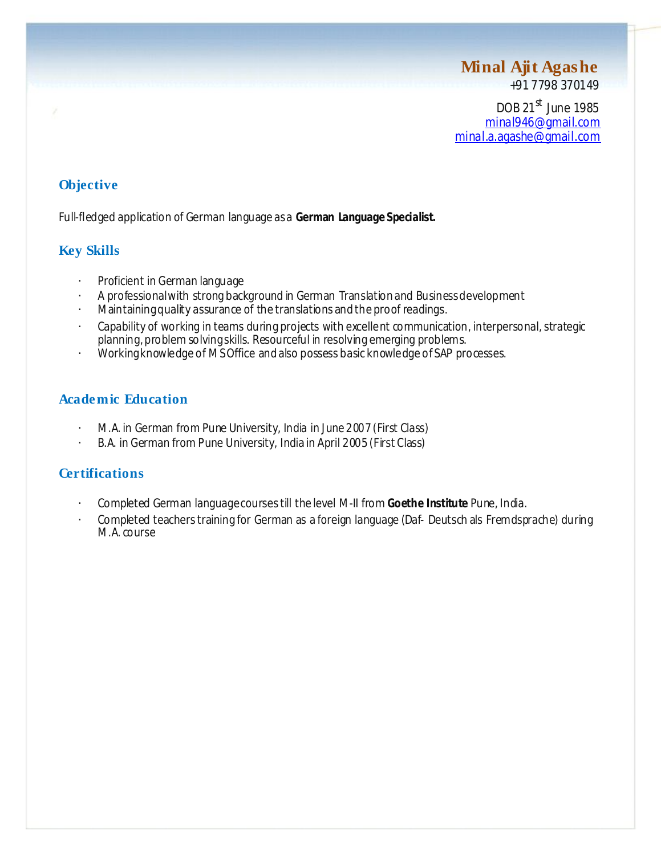# **Minal Ajit Agashe**

+91 7798 370149

DOB 21<sup>st</sup> June 1985 minal946@gmail.com minal.a.agashe@gmail.com

## **Objective**

Full-fledged application of German language asa **German Language Specialist.**

## **Key Skills**

- Proficient in German language
- A professionalwith strong background in German Translationand Businessdevelopment
- Maintaining quality assurance of the translations and the proof readings.
- Capability of working in teams during projects with excellent communication, interpersonal, strategic planning, problem solvingskills. Resourceful in resolving emerging problems.
- Workingknowledge of MSOffice andalso possess basic knowledge of SAP processes.

### **Academic Education**

- M.A. in German from Pune University, India in June 2007 (First Class)
- B.A. in German from Pune University, India in April 2005 (First Class)

## **Certifications**

- Completed German languagecoursestill the level M-II from **Goethe Institute** Pune, India.
- Completed teachers training for German as a foreign language (Daf- Deutsch als Fremdsprache) during M.A. course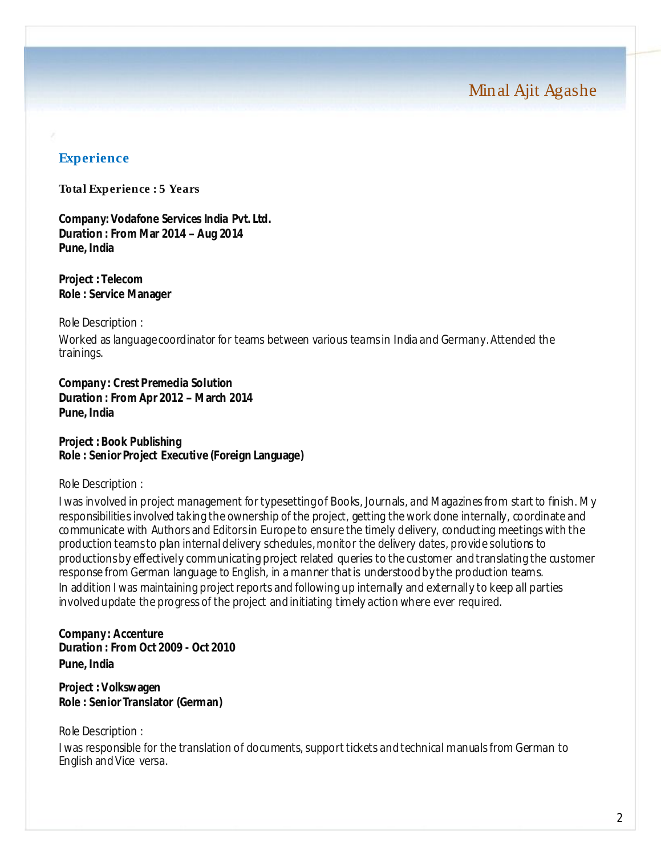Minal Ajit Agashe

#### **Experience**

#### **Total Experience : 5 Years**

**Company: Vodafone Services India Pvt. Ltd. Duration : From Mar 2014 –Aug 2014 Pune, India**

**Project : Telecom Role : Service Manager**

Role Description :

Worked as languagecoordinator for teams between various teamsin India and Germany.Attended the trainings.

**Company : Crest Premedia Solution Duration : From Apr 2012 –March 2014 Pune, India**

**Project : Book Publishing Role : Senior Project Executive (Foreign Language)**

Role Description :

I was involved in project management for typesetting of Books, Journals, and Magazines from start to finish. My responsibilities involved taking the ownership of the project, getting the work done internally, coordinate and communicate with Authors and Editorsin Europe to ensure the timely delivery, conducting meetings with the production teamsto plan internaldelivery schedules,monitor the delivery dates, provide solutions to productionsby effectively communicating project related queries to the customer andtranslating the customer response from German language to English, in a manner thatis understoodby the production teams. In addition I was maintaining project reports and following up internally and externally to keep all parties involvedupdate the progress of the project andinitiating timely action where ever required.

**Company : Accenture Duration : From Oct 2009 - Oct 2010 Pune, India**

**Project : Volkswagen Role : Senior Translator (German)**

Role Description : I was responsible for the translation of documents, support tickets and technical manuals from German to English andVice versa.